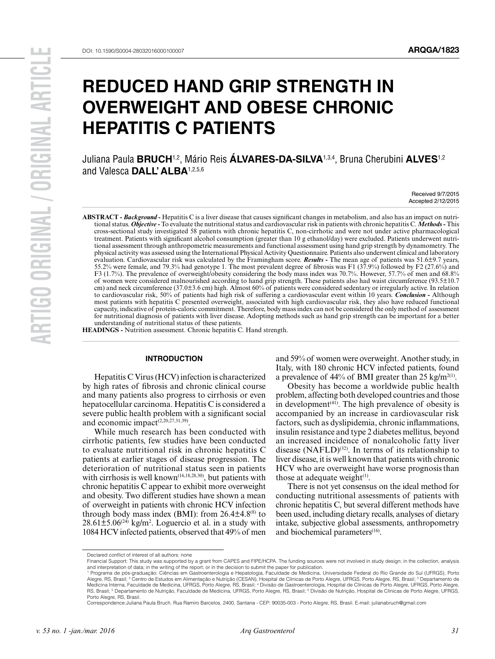# **REDUCED HAND GRIP STRENGTH IN OVERWEIGHT AND OBESE CHRONIC HEPATITIS C PATIENTS**

Juliana Paula **BRUCH**1,2, Mário Reis **ÁLVARES-DA-SILVA**1,3,4, Bruna Cherubini **ALVES**1,2 and Valesca **DALL' ALBA**1,2,5,6

> Received 9/7/2015 Accepted 2/12/2015

**ABSTRACT -** *Background* **-** Hepatitis C is a liver disease that causes significant changes in metabolism, and also has an impact on nutritional status. *Objective* **-** To evaluate the nutritional status and cardiovascular risk in patients with chronic hepatitis C. *Methods***-** This cross-sectional study investigated 58 patients with chronic hepatitis C, non-cirrhotic and were not under active pharmacological treatment. Patients with significant alcohol consumption (greater than 10 g ethanol/day) were excluded. Patients underwent nutritional assessment through anthropometric measurements and functional assessment using hand grip strength by dynamometry. The physical activity was assessed using the International Physical Activity Questionnaire. Patients also underwent clinical and laboratory evaluation. Cardiovascular risk was calculated by the Framingham score. *Results* **-** The mean age of patients was 51.6±9.7 years, 55.2% were female, and 79.3% had genotype 1. The most prevalent degree of fibrosis was F1 (37.9%) followed by F2 (27.6%) and F3 (1.7%). The prevalence of overweight/obesity considering the body mass index was 70.7%. However, 57.7% of men and 68.8% of women were considered malnourished according to hand grip strength. These patients also had waist circumference (93.5±10.7 cm) and neck circumference (37.0±3.6 cm) high. Almost 60% of patients were considered sedentary or irregularly active. In relation to cardiovascular risk, 50% of patients had high risk of suffering a cardiovascular event within 10 years. *Conclusion* **-** Although most patients with hepatitis C presented overweight, associated with high cardiovascular risk, they also have reduced functional capacity, indicative of protein-caloric commitment. Therefore, body mass index can not be considered the only method of assessment for nutritional diagnosis of patients with liver disease. Adopting methods such as hand grip strength can be important for a better understanding of nutritional status of these patients.

**HEADINGS -** Nutrition assessment. Chronic hepatitis C. Hand strength.

## **INTRODUCTION**

Hepatitis C Virus (HCV) infection is characterized by high rates of fibrosis and chronic clinical course and many patients also progress to cirrhosis or even hepatocellular carcinoma. Hepatitis C is considered a severe public health problem with a significant social and economic impact $(2,20,27,31,39)$ .

While much research has been conducted with cirrhotic patients, few studies have been conducted to evaluate nutritional risk in chronic hepatitis C patients at earlier stages of disease progression. The deterioration of nutritional status seen in patients with cirrhosis is well known<sup> $(16,18,28,30)$ </sup>, but patients with chronic hepatitis C appear to exhibit more overweight and obesity. Two different studies have shown a mean of overweight in patients with chronic HCV infection through body mass index (BMI): from  $26.4\pm4.8^{(8)}$  to  $28.61 \pm 5.06^{(24)}$  kg/m<sup>2</sup>. Loguercio et al. in a study with 1084 HCV infected patients, observed that 49% of men

and 59% of women were overweight. Another study, in Italy, with 180 chronic HCV infected patients, found a prevalence of 44% of BMI greater than 25 kg/m<sup>2(1)</sup>.

Obesity has become a worldwide public health problem, affecting both developed countries and those in development<sup> $(41)$ </sup>. The high prevalence of obesity is accompanied by an increase in cardiovascular risk factors, such as dyslipidemia, chronic inflammations, insulin resistance and type 2 diabetes mellitus, beyond an increased incidence of nonalcoholic fatty liver disease  $(NAFLD)^{(32)}$ . In terms of its relationship to liver disease, it is well known that patients with chronic HCV who are overweight have worse prognosisthan those at adequate weight $(1)$ .

There is not yet consensus on the ideal method for conducting nutritional assessments of patients with chronic hepatitis C, but several different methods have been used, including dietary recalls, analyses of dietary intake, subjective global assessments, anthropometry and biochemical parameters<sup>(16)</sup>.

Declared conflict of interest of all authors: none

Financial Support: This study was supported by a grant from CAPES and FIPE/HCPA. The funding sources were not involved in study design; in the collection, analysis and interpretation of data; in the writing of the report; or in the decision to submit the paper for publication.

<sup>1</sup> Programa de pós-graduação: Ciências em Gastroenterologia e Hepatologia, Faculdade de Medicina, Universidade Federal do Rio Grande do Sul (UFRGS), Porto Alegre, RS, Brasil; ª Centro de Estudos em Alimentação e Nutrição (CESAN), Hospital de Clínicas de Porto Alegre, UFRGS, Porto Alegre, RS, Brasil; ª Departamento de<br>Medicina Interna, Faculdade de Medicina, UFRGS, Porto Ale Porto Alegre, RS, Brasil.

Correspondence:Juliana Paula Bruch. Rua Ramiro Barcelos, 2400, Santana - CEP: 90035-003 - Porto Alegre, RS, Brasil. E-mail: julianabruch@gmail.com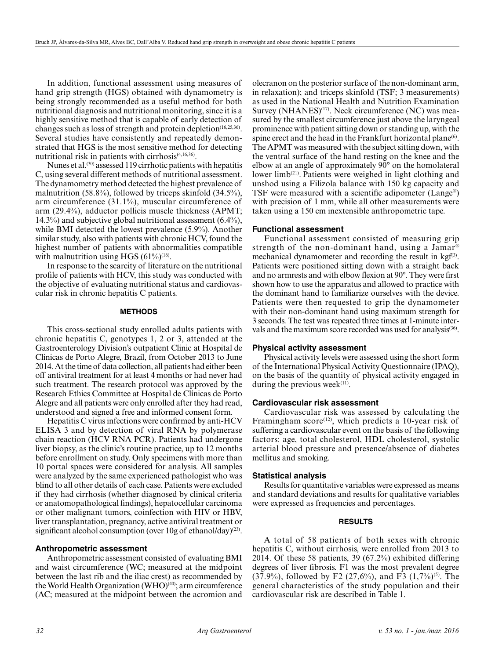In addition, functional assessment using measures of hand grip strength (HGS) obtained with dynamometry is being strongly recommended as a useful method for both nutritional diagnosis and nutritional monitoring, since it is a highly sensitive method that is capable of early detection of changes such as loss of strength and protein depletion<sup>(16,25,36)</sup>. Several studies have consistently and repeatedly demonstrated that HGS is the most sensitive method for detecting nutritional risk in patients with cirrhosis $(4,16,36)$ .

Nunes et al.<sup>(30)</sup> assessed 119 cirrhotic patients with hepatitis C, using several different methods of nutritional assessment. The dynamometry method detected the highest prevalence of malnutrition (58.8%), followed by triceps skinfold (34.5%), arm circumference (31.1%), muscular circumference of arm (29.4%), adductor pollicis muscle thickness (APMT; 14.3%) and subjective global nutritional assessment (6.4%), while BMI detected the lowest prevalence (5.9%). Another similar study, also with patients with chronic HCV, found the highest number of patients with abnormalities compatible with malnutrition using HGS  $(61\%)^{(16)}$ .

In response to the scarcity of literature on the nutritional profile of patients with HCV, this study was conducted with the objective of evaluating nutritional status and cardiovascular risk in chronic hepatitis C patients.

#### **METHODS**

This cross-sectional study enrolled adults patients with chronic hepatitis C, genotypes 1, 2 or 3, attended at the Gastroenterology Division's outpatient Clinic at Hospital de Clínicas de Porto Alegre, Brazil, from October 2013 to June 2014. At the time of data collection, all patients had either been off antiviral treatment for at least 4 months or had never had such treatment. The research protocol was approved by the Research Ethics Committee at Hospital de Clínicas de Porto Alegre and all patients were only enrolled after they had read, understood and signed a free and informed consent form.

Hepatitis C virus infections were confirmed by anti-HCV ELISA 3 and by detection of viral RNA by polymerase chain reaction (HCV RNA PCR). Patients had undergone liver biopsy, as the clinic's routine practice, up to 12 months before enrollment on study. Only specimens with more than 10 portal spaces were considered for analysis. All samples were analyzed by the same experienced pathologist who was blind to all other details of each case. Patients were excluded if they had cirrhosis (whether diagnosed by clinical criteria or anatomopathological findings), hepatocellular carcinoma or other malignant tumors, coinfection with HIV or HBV, liver transplantation, pregnancy, active antiviral treatment or significant alcohol consumption (over  $10g$  of ethanol/day)<sup>(23)</sup>.

#### **Anthropometric assessment**

Anthropometric assessment consisted of evaluating BMI and waist circumference (WC; measured at the midpoint between the last rib and the iliac crest) as recommended by the World Health Organization (WHO)<sup>(40)</sup>; arm circumference (AC; measured at the midpoint between the acromion and

olecranon on the posterior surface of the non-dominant arm, in relaxation); and triceps skinfold (TSF; 3 measurements) as used in the National Health and Nutrition Examination Survey (NHANES) $(17)$ . Neck circumference (NC) was measured by the smallest circumference just above the laryngeal prominence with patient sitting down or standing up, with the spine erect and the head in the Frankfurt horizontal plane<sup> $(6)$ </sup>. The APMT was measured with the subject sitting down, with the ventral surface of the hand resting on the knee and the elbow at an angle of approximately 90° on the homolateral lower limb<sup>(21)</sup>. Patients were weighed in light clothing and unshod using a Filizola balance with 150 kg capacity and TSF were measured with a scientific adipometer (Lange®) with precision of 1 mm, while all other measurements were taken using a 150 cm inextensible anthropometric tape.

## **Functional assessment**

Functional assessment consisted of measuring grip strength of the non-dominant hand, using a Jamar® mechanical dynamometer and recording the result in  $kgf^{(3)}$ . Patients were positioned sitting down with a straight back and no armrests and with elbow flexion at 90º. They were first shown how to use the apparatus and allowed to practice with the dominant hand to familiarize ourselves with the device. Patients were then requested to grip the dynamometer with their non-dominant hand using maximum strength for 3 seconds. The test was repeated three times at 1-minute intervals and the maximum score recorded was used for analysis<sup>(36)</sup>.

# **Physical activity assessment**

Physical activity levels were assessed using the short form of the International Physical Activity Questionnaire (IPAQ), on the basis of the quantity of physical activity engaged in during the previous week $(11)$ .

#### **Cardiovascular risk assessment**

Cardiovascular risk was assessed by calculating the Framingham score<sup>(12)</sup>, which predicts a 10-year risk of suffering a cardiovascular event on the basis of the following factors: age, total cholesterol, HDL cholesterol, systolic arterial blood pressure and presence/absence of diabetes mellitus and smoking.

# **Statistical analysis**

Results for quantitative variables were expressed as means and standard deviations and results for qualitative variables were expressed as frequencies and percentages.

#### **RESULTS**

A total of 58 patients of both sexes with chronic hepatitis C, without cirrhosis, were enrolled from 2013 to 2014. Of these 58 patients, 39 (67.2%) exhibited differing degrees of liver fibrosis. F1 was the most prevalent degree  $(37.9\%)$ , followed by F2  $(27.6\%)$ , and F3  $(1.7\%)^{(5)}$ . The general characteristics of the study population and their cardiovascular risk are described in Table 1.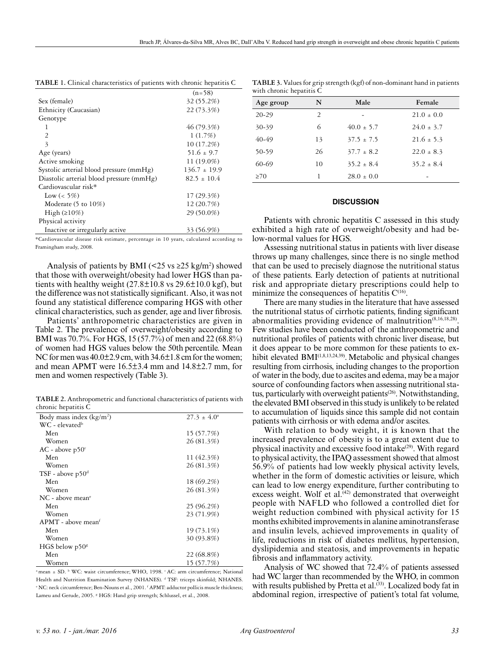|                                          | $(n=58)$         |
|------------------------------------------|------------------|
| Sex (female)                             | 32 (55.2%)       |
| Ethnicity (Caucasian)                    | 22 (73.3%)       |
| Genotype                                 |                  |
| 1                                        | 46 (79.3%)       |
| 2                                        | 1(1.7%)          |
| $\overline{\mathcal{E}}$                 | 10(17.2%)        |
| Age (years)                              | $51.6 \pm 9.7$   |
| Active smoking                           | 11 (19.0%)       |
| Systolic arterial blood pressure (mmHg)  | $136.7 \pm 19.9$ |
| Diastolic arterial blood pressure (mmHg) | $82.5 \pm 10.4$  |
| Cardiovascular risk*                     |                  |
| Low $(< 5\%)$                            | 17(29.3%)        |
| Moderate $(5 \text{ to } 10\%)$          | 12 (20.7%)       |
| High $(210%)$                            | 29 (50.0%)       |
| Physical activity                        |                  |
| Inactive or irregularly active           | 33 (56.9%)       |
|                                          |                  |

\*Cardiovascular disease risk estimate, percentage in 10 years, calculated according to Framingham study, 2008.

Analysis of patients by BMI ( $\leq$ 25 vs  $\geq$ 25 kg/m<sup>2</sup>) showed that those with overweight/obesity had lower HGS than patients with healthy weight  $(27.8\pm10.8 \text{ vs } 29.6\pm10.0 \text{ kgf})$ , but the difference was not statistically significant. Also, it was not found any statistical difference comparing HGS with other clinical characteristics, such as gender, age and liver fibrosis.

Patients' anthropometric characteristics are given in Table 2. The prevalence of overweight/obesity according to BMI was 70.7%. For HGS, 15 (57.7%) of men and 22 (68.8%) of women had HGS values below the 50th percentile. Mean NC for men was 40.0±2.9 cm, with 34.6±1.8 cm for the women; and mean APMT were 16.5±3.4 mm and 14.8±2.7 mm, for men and women respectively (Table 3).

**TABLE 2.** Anthropometric and functional characteristics of patients with chronic hepatitis C

| Body mass index $(kg/m2)$        | $27.3 \pm 4.0^{\circ}$ |
|----------------------------------|------------------------|
| $WC$ - elevated <sup>b</sup>     |                        |
| Men                              | 15 (57.7%)             |
| Women                            | 26 (81.3%)             |
| $AC$ - above $p50^\circ$         |                        |
| Men                              | 11 (42.3%)             |
| Women                            | 26 (81.3%)             |
| $TSF - above p50d$               |                        |
| Men                              | 18 (69.2%)             |
| Women                            | 26 (81.3%)             |
| NC - above mean <sup>e</sup>     |                        |
| Men                              | 25 (96.2%)             |
| Women                            | 23 (71.9%)             |
| $APMT$ - above mean <sup>f</sup> |                        |
| Men                              | 19 (73.1%)             |
| Women                            | 30 (93.8%)             |
| HGS below $p50g$                 |                        |
| Men                              | 22 (68.8%)             |
| Women                            | 15 (57.7%)             |

<sup>a</sup> mean ± SD. <sup>b</sup> WC: waist circumference; WHO, 1998. <sup>c</sup> AC: arm circumference; National Health and Nutrition Examination Survey (NHANES). d TSF: triceps skinfold; NHANES. <sup>e</sup> NC: neck circumference; Ben-Nouns et al., 2001. <sup>f</sup> APMT: adductor pollicis muscle thickness; Lameu and Gerude, 2005. <sup>8</sup> HGS: Hand grip strength; Schlussel, et al., 2008.

**TABLE 3.** Values for grip strength (kgf) of non-dominant hand in patients with chronic hepatitis C

| Age group | N  | Male           | Female         |
|-----------|----|----------------|----------------|
| $20 - 29$ | 2  |                | $21.0 \pm 0.0$ |
| $30 - 39$ | 6  | $40.0 \pm 5.7$ | $24.0 \pm 3.7$ |
| 40-49     | 13 | $37.5 \pm 7.5$ | $21.6 \pm 5.3$ |
| 50-59     | 26 | $37.7 \pm 8.2$ | $22.0 \pm 8.3$ |
| 60-69     | 10 | $35.2 \pm 8.4$ | $35.2 \pm 8.4$ |
| $\geq 70$ | 1  | $28.0 \pm 0.0$ |                |
|           |    |                |                |

#### **DISCUSSION**

Patients with chronic hepatitis C assessed in this study exhibited a high rate of overweight/obesity and had below-normal values for HGS.

Assessing nutritional status in patients with liver disease throws up many challenges, since there is no single method that can be used to precisely diagnose the nutritional status of these patients. Early detection of patients at nutritional risk and appropriate dietary prescriptions could help to minimize the consequences of hepatitis  $C^{(16)}$ .

There are many studies in the literature that have assessed the nutritional status of cirrhotic patients, finding significant abnormalities providing evidence of malnutrition $(8,16,18,28)$ . Few studies have been conducted of the anthropometric and nutritional profiles of patients with chronic liver disease, but it does appear to be more common for these patients to exhibit elevated BMI<sup>(1,8,13,24,39)</sup>. Metabolic and physical changes resulting from cirrhosis, including changes to the proportion of water in the body, due to ascites and edema, may be a major source of confounding factors when assessing nutritional status, particularly with overweight patients<sup>(26)</sup>. Notwithstanding, the elevated BMI observed in this study is unlikely to be related to accumulation of liquids since this sample did not contain patients with cirrhosis or with edema and/or ascites.

With relation to body weight, it is known that the increased prevalence of obesity is to a great extent due to physical inactivity and excessive food intake<sup>(29)</sup>. With regard to physical activity, the IPAQ assessment showed that almost 56.9% of patients had low weekly physical activity levels, whether in the form of domestic activities or leisure, which can lead to low energy expenditure, further contributing to excess weight. Wolf et al.<sup>(42)</sup> demonstrated that overweight people with NAFLD who followed a controlled diet for weight reduction combined with physical activity for 15 months exhibited improvements in alanine aminotransferase and insulin levels, achieved improvements in quality of life, reductions in risk of diabetes mellitus, hypertension, dyslipidemia and steatosis, and improvements in hepatic fibrosis and inflammatory activity.

Analysis of WC showed that 72.4% of patients assessed had WC larger than recommended by the WHO, in common with results published by Pretta et al.<sup>(33)</sup>. Localized body fat in abdominal region, irrespective of patient's total fat volume,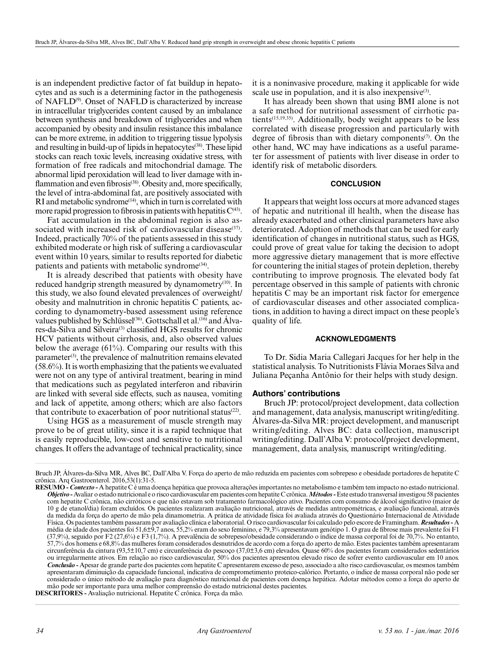is an independent predictive factor of fat buildup in hepatocytes and as such is a determining factor in the pathogenesis of NAFLD(9). Onset of NAFLD is characterized by increase in intracellular triglycerides content caused by an imbalance between synthesis and breakdown of triglycerides and when accompanied by obesity and insulin resistance this imbalance can be more extreme, in addition to triggering tissue lypolysis and resulting in build-up of lipids in hepatocytes<sup> $(38)$ </sup>. These lipid stocks can reach toxic levels, increasing oxidative stress, with formation of free radicals and mitochondrial damage. The abnormal lipid peroxidation will lead to liver damage with inflammation and even fibrosis<sup>(38)</sup>. Obesity and, more specifically, the level of intra-abdominal fat, are positively associated with RI and metabolic syndrome<sup>(14)</sup>, which in turn is correlated with more rapid progression to fibrosis in patients with hepatitis  $C^{(43)}$ .

Fat accumulation in the abdominal region is also associated with increased risk of cardiovascular disease<sup>(37)</sup>. Indeed, practically 70% of the patients assessed in this study exhibited moderate or high risk of suffering a cardiovascular event within 10 years, similar to results reported for diabetic patients and patients with metabolic syndrome<sup>(34)</sup>.

It is already described that patients with obesity have reduced handgrip strength measured by dynamometry<sup>(10)</sup>. In this study, we also found elevated prevalences of overweight/ obesity and malnutrition in chronic hepatitis C patients, according to dynamometry-based assessment using reference values published by Schlüssel<sup>(36)</sup>. Gottschall et al.<sup>(16)</sup> and Álvares-da-Silva and Silveira<sup>(3)</sup> classified HGS results for chronic HCV patients without cirrhosis, and, also observed values below the average  $(61\%)$ . Comparing our results with this parameter<sup>(3)</sup>, the prevalence of malnutrition remains elevated  $(58.6\%)$ . It is worth emphasizing that the patients we evaluated were not on any type of antiviral treatment, bearing in mind that medications such as pegylated interferon and ribavirin are linked with several side effects, such as nausea, vomiting and lack of appetite, among others; which are also factors that contribute to exacerbation of poor nutritional status $(22)$ .

Using HGS as a measurement of muscle strength may prove to be of great utility, since it is a rapid technique that is easily reproducible, low-cost and sensitive to nutritional changes. It offers the advantage of technical practicality, since

it is a noninvasive procedure, making it applicable for wide scale use in population, and it is also inexpensive $(3)$ .

It has already been shown that using BMI alone is not a safe method for nutritional assessment of cirrhotic patients<sup>(15,19,35)</sup>. Additionally, body weight appears to be less correlated with disease progression and particularly with degree of fibrosis than with dietary components<sup> $(7)$ </sup>. On the other hand, WC may have indications as a useful parameter for assessment of patients with liver disease in order to identify risk of metabolic disorders.

## **CONCLUSION**

It appears that weight loss occurs at more advanced stages of hepatic and nutritional ill health, when the disease has already exacerbated and other clinical parameters have also deteriorated. Adoption of methods that can be used for early identification of changes in nutritional status, such as HGS, could prove of great value for taking the decision to adopt more aggressive dietary management that is more effective for countering the initial stages of protein depletion, thereby contributing to improve prognosis. The elevated body fat percentage observed in this sample of patients with chronic hepatitis C may be an important risk factor for emergence of cardiovascular diseases and other associated complications, in addition to having a direct impact on these people's quality of life.

# **ACKNOWLEDGMENTS**

To Dr. Sidia Maria Callegari Jacques for her help in the statistical analysis. To Nutritionists Flávia Moraes Silva and Juliana Peçanha Antônio for their helps with study design.

# **Authors' contributions**

Bruch JP: protocol/project development, data collection and management, data analysis, manuscript writing/editing. Álvares-da-Silva MR: project development, and manuscript writing/editing. Alves BC: data collection, manuscript writing/editing. Dall'Alba V: protocol/project development, management, data analysis, manuscript writing/editing.

**DESCRITORES -** Avaliação nutricional. Hepatite C crônica. Força da mão.

Bruch JP, Álvares-da-Silva MR, Alves BC, Dall'Alba V. Força do aperto de mão reduzida em pacientes com sobrepeso e obesidade portadores de hepatite C crônica. Arq Gastroenterol. 2016,53(1):31-5.

**RESUMO -** *Contexto* - A hepatite C é uma doença hepática que provoca alterações importantes no metabolismo e também tem impacto no estado nutricional. *Objetivo* **-** Avaliar o estado nutricional e o risco cardiovascular em pacientes com hepatite C crônica. *Métodos***-** Este estudo transversal investigou 58 pacientes com hepatite C crônica, não cirróticos e que não estavam sob tratamento farmacológico ativo. Pacientes com consumo de álcool significativo (maior de 10 g de etanol/dia) foram excluídos. Os pacientes realizaram avaliação nutricional, através de medidas antropométricas, e avaliação funcional, através da medida da força do aperto de mão pela dinamometria. A prática de atividade física foi avaliada através do Questionário Internacional de Atividade Física. Os pacientes também passaram por avaliação clínica e laboratorial. O risco cardiovascular foi calculado pelo escore de Framingham. *Resultados***-** A média de idade dos pacientes foi 51,6±9,7 anos, 55,2% eram do sexo feminino, e 79,3% apresentavam genótipo 1. O grau de fibrose mais prevalente foi F1 (37,9%), seguido por F2 (27,6%) e F3 (1,7%). A prevalência de sobrepeso/obesidade considerando o índice de massa corporal foi de 70,7%. No entanto, 57,7% dos homens e 68,8% das mulheres foram considerados desnutridos de acordo com a força do aperto de mão. Estes pacientes também apresentaram circunferência da cintura (93,5±10,7 cm) e circunferência do pescoço (37,0±3,6 cm) elevados. Quase 60% dos pacientes foram considerados sedentários ou irregularmente ativos. Em relação ao risco cardiovascular, 50% dos pacientes apresentou elevado risco de sofrer evento cardiovascular em 10 anos. *Conclusão* **-** Apesar de grande parte dos pacientes com hepatite C apresentarem excesso de peso, associado a alto risco cardiovascular, os mesmos também apresentaram diminuição da capacidade funcional, indicativa de comprometimento proteico-calórico. Portanto, o índice de massa corporal não pode ser considerado o único método de avaliação para diagnóstico nutricional de pacientes com doença hepática. Adotar métodos como a força do aperto de mão pode ser importante para uma melhor compreensão do estado nutricional destes pacientes.